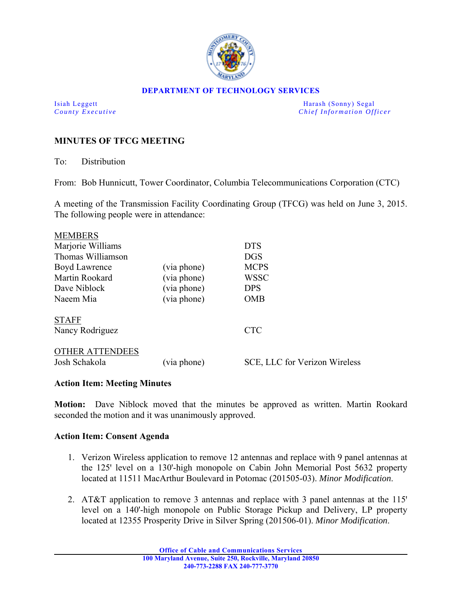

## **DEPARTMENT OF TECHNOLOGY SERVICES**

Isiah Leggett Harash (Sonny) Segal *County Executive* **Countries and** *Chief Information Officer Chief Information Officer* 

## **MINUTES OF TFCG MEETING**

To: Distribution

From: Bob Hunnicutt, Tower Coordinator, Columbia Telecommunications Corporation (CTC)

A meeting of the Transmission Facility Coordinating Group (TFCG) was held on June 3, 2015. The following people were in attendance:

| <b>MEMBERS</b>         |             |                               |
|------------------------|-------------|-------------------------------|
| Marjorie Williams      |             | <b>DTS</b>                    |
| Thomas Williamson      |             | <b>DGS</b>                    |
| Boyd Lawrence          | (via phone) | <b>MCPS</b>                   |
| <b>Martin Rookard</b>  | (via phone) | WSSC                          |
| Dave Niblock           | (via phone) | <b>DPS</b>                    |
| Naeem Mia              | (via phone) | <b>OMB</b>                    |
|                        |             |                               |
| <b>STAFF</b>           |             |                               |
| Nancy Rodriguez        |             | <b>CTC</b>                    |
|                        |             |                               |
| <b>OTHER ATTENDEES</b> |             |                               |
| Josh Schakola          | (via phone) | SCE, LLC for Verizon Wireless |
|                        |             |                               |

## **Action Item: Meeting Minutes**

**Motion:** Dave Niblock moved that the minutes be approved as written. Martin Rookard seconded the motion and it was unanimously approved.

## **Action Item: Consent Agenda**

- 1. Verizon Wireless application to remove 12 antennas and replace with 9 panel antennas at the 125' level on a 130'-high monopole on Cabin John Memorial Post 5632 property located at 11511 MacArthur Boulevard in Potomac (201505-03). *Minor Modification*.
- 2. AT&T application to remove 3 antennas and replace with 3 panel antennas at the  $115'$ level on a 140'-high monopole on Public Storage Pickup and Delivery, LP property located at 12355 Prosperity Drive in Silver Spring (201506-01). *Minor Modification*.

**Office of Cable and Communications Services 100 Maryland Avenue, Suite 250, Rockville, Maryland 20850 240-773-2288 FAX 240-777-3770**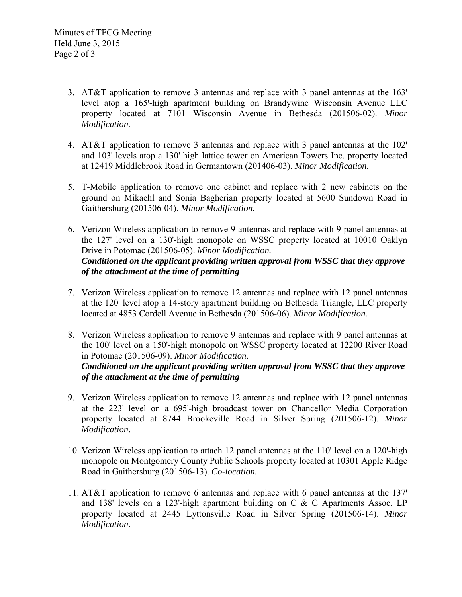- 3. AT&T application to remove 3 antennas and replace with 3 panel antennas at the 163' level atop a 165ꞌ-high apartment building on Brandywine Wisconsin Avenue LLC property located at 7101 Wisconsin Avenue in Bethesda (201506-02). *Minor Modification.*
- 4. AT&T application to remove 3 antennas and replace with 3 panel antennas at the  $102'$ and 103' levels atop a 130' high lattice tower on American Towers Inc. property located at 12419 Middlebrook Road in Germantown (201406-03). *Minor Modification*.
- 5. T-Mobile application to remove one cabinet and replace with 2 new cabinets on the ground on Mikaehl and Sonia Bagherian property located at 5600 Sundown Road in Gaithersburg (201506-04). *Minor Modification.*
- 6. Verizon Wireless application to remove 9 antennas and replace with 9 panel antennas at the 127' level on a 130'-high monopole on WSSC property located at 10010 Oaklyn Drive in Potomac (201506-05). *Minor Modification. Conditioned on the applicant providing written approval from WSSC that they approve of the attachment at the time of permitting*
- 7. Verizon Wireless application to remove 12 antennas and replace with 12 panel antennas at the 120' level atop a 14-story apartment building on Bethesda Triangle, LLC property located at 4853 Cordell Avenue in Bethesda (201506-06). *Minor Modification.*
- 8. Verizon Wireless application to remove 9 antennas and replace with 9 panel antennas at the 100' level on a 150'-high monopole on WSSC property located at 12200 River Road in Potomac (201506-09). *Minor Modification*. *Conditioned on the applicant providing written approval from WSSC that they approve of the attachment at the time of permitting*
- 9. Verizon Wireless application to remove 12 antennas and replace with 12 panel antennas at the 223' level on a 695'-high broadcast tower on Chancellor Media Corporation property located at 8744 Brookeville Road in Silver Spring (201506-12). *Minor Modification*.
- 10. Verizon Wireless application to attach 12 panel antennas at the 110' level on a 120'-high monopole on Montgomery County Public Schools property located at 10301 Apple Ridge Road in Gaithersburg (201506-13). *Co-location.*
- 11. AT&T application to remove 6 antennas and replace with 6 panel antennas at the  $137'$ and 138' levels on a 123'-high apartment building on C  $&$  C Apartments Assoc. LP property located at 2445 Lyttonsville Road in Silver Spring (201506-14). *Minor Modification*.